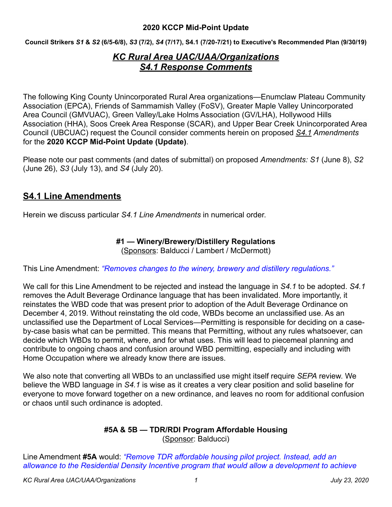**Council Strikers** *S1* **&** *S2* **(6/5-6/8),** *S3* **(7/2),** *S4* **(7/17), S4.1 (7/20-7/21) to Executive's Recommended Plan (9/30/19)** 

# *KC Rural Area UAC/UAA/Organizations S4.1 Response Comments*

The following King County Unincorporated Rural Area organizations—Enumclaw Plateau Community Association (EPCA), Friends of Sammamish Valley (FoSV), Greater Maple Valley Unincorporated Area Council (GMVUAC), Green Valley/Lake Holms Association (GV/LHA), Hollywood Hills Association (HHA), Soos Creek Area Response (SCAR), and Upper Bear Creek Unincorporated Area Council (UBCUAC) request the Council consider comments herein on proposed *S4.1 Amendments* for the **2020 KCCP Mid-Point Update (Update)**.

Please note our past comments (and dates of submittal) on proposed *Amendments: S1* (June 8), *S2* (June 26), *S3* (July 13), and *S4* (July 20).

# **S4.1 Line Amendments**

Herein we discuss particular *S4.1 Line Amendments* in numerical order.

### **#1 — Winery/Brewery/Distillery Regulations**

(Sponsors: Balducci / Lambert / McDermott)

This Line Amendment: *"Removes changes to the winery, brewery and distillery regulations."*

We call for this Line Amendment to be rejected and instead the language in *S4.1* to be adopted. *S4.1* removes the Adult Beverage Ordinance language that has been invalidated. More importantly, it reinstates the WBD code that was present prior to adoption of the Adult Beverage Ordinance on December 4, 2019. Without reinstating the old code, WBDs become an unclassified use. As an unclassified use the Department of Local Services—Permitting is responsible for deciding on a caseby-case basis what can be permitted. This means that Permitting, without any rules whatsoever, can decide which WBDs to permit, where, and for what uses. This will lead to piecemeal planning and contribute to ongoing chaos and confusion around WBD permitting, especially and including with Home Occupation where we already know there are issues.

We also note that converting all WBDs to an unclassified use might itself require *SEPA* review. We believe the WBD language in *S4.1* is wise as it creates a very clear position and solid baseline for everyone to move forward together on a new ordinance, and leaves no room for additional confusion or chaos until such ordinance is adopted.

#### **#5A & 5B — TDR/RDI Program Affordable Housing**  (Sponsor: Balducci)

Line Amendment **#5A** would: *"Remove TDR affordable housing pilot project. Instead, add an allowance to the Residential Density Incentive program that would allow a development to achieve*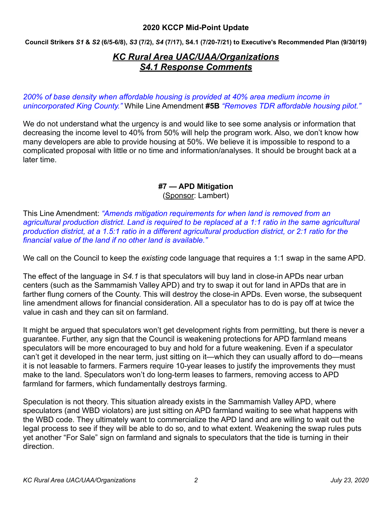**Council Strikers** *S1* **&** *S2* **(6/5-6/8),** *S3* **(7/2),** *S4* **(7/17), S4.1 (7/20-7/21) to Executive's Recommended Plan (9/30/19)** 

# *KC Rural Area UAC/UAA/Organizations S4.1 Response Comments*

*200% of base density when affordable housing is provided at 40% area medium income in unincorporated King County."* While Line Amendment **#5B** *"Removes TDR affordable housing pilot."*

We do not understand what the urgency is and would like to see some analysis or information that decreasing the income level to 40% from 50% will help the program work. Also, we don't know how many developers are able to provide housing at 50%. We believe it is impossible to respond to a complicated proposal with little or no time and information/analyses. It should be brought back at a later time.

# **#7 — APD Mitigation**

(Sponsor: Lambert)

This Line Amendment: *"Amends mitigation requirements for when land is removed from an agricultural production district. Land is required to be replaced at a 1:1 ratio in the same agricultural production district, at a 1.5:1 ratio in a different agricultural production district, or 2:1 ratio for the financial value of the land if no other land is available."*

We call on the Council to keep the *existing* code language that requires a 1:1 swap in the same APD.

The effect of the language in *S4.1* is that speculators will buy land in close-in APDs near urban centers (such as the Sammamish Valley APD) and try to swap it out for land in APDs that are in farther flung corners of the County. This will destroy the close-in APDs. Even worse, the subsequent line amendment allows for financial consideration. All a speculator has to do is pay off at twice the value in cash and they can sit on farmland.

It might be argued that speculators won't get development rights from permitting, but there is never a guarantee. Further, any sign that the Council is weakening protections for APD farmland means speculators will be more encouraged to buy and hold for a future weakening. Even if a speculator can't get it developed in the near term, just sitting on it—which they can usually afford to do—means it is not leasable to farmers. Farmers require 10-year leases to justify the improvements they must make to the land. Speculators won't do long-term leases to farmers, removing access to APD farmland for farmers, which fundamentally destroys farming.

Speculation is not theory. This situation already exists in the Sammamish Valley APD, where speculators (and WBD violators) are just sitting on APD farmland waiting to see what happens with the WBD code. They ultimately want to commercialize the APD land and are willing to wait out the legal process to see if they will be able to do so, and to what extent. Weakening the swap rules puts yet another "For Sale" sign on farmland and signals to speculators that the tide is turning in their direction.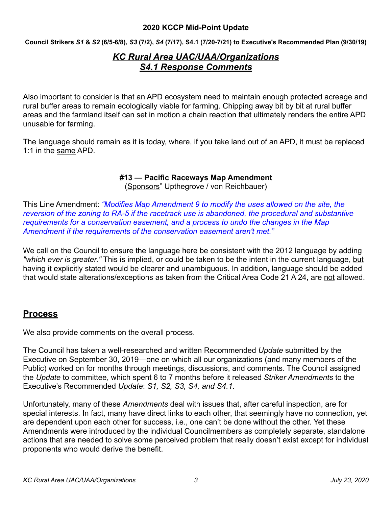**Council Strikers** *S1* **&** *S2* **(6/5-6/8),** *S3* **(7/2),** *S4* **(7/17), S4.1 (7/20-7/21) to Executive's Recommended Plan (9/30/19)** 

# *KC Rural Area UAC/UAA/Organizations S4.1 Response Comments*

Also important to consider is that an APD ecosystem need to maintain enough protected acreage and rural buffer areas to remain ecologically viable for farming. Chipping away bit by bit at rural buffer areas and the farmland itself can set in motion a chain reaction that ultimately renders the entire APD unusable for farming.

The language should remain as it is today, where, if you take land out of an APD, it must be replaced 1:1 in the same APD.

### **#13 — Pacific Raceways Map Amendment**

(Sponsors" Upthegrove / von Reichbauer)

This Line Amendment: *"Modifies Map Amendment 9 to modify the uses allowed on the site, the reversion of the zoning to RA-5 if the racetrack use is abandoned, the procedural and substantive requirements for a conservation easement, and a process to undo the changes in the Map Amendment if the requirements of the conservation easement aren't met."*

We call on the Council to ensure the language here be consistent with the 2012 language by adding *"which ever is greater."* This is implied, or could be taken to be the intent in the current language, but having it explicitly stated would be clearer and unambiguous. In addition, language should be added that would state alterations/exceptions as taken from the Critical Area Code 21 A 24, are not allowed.

## **Process**

We also provide comments on the overall process.

The Council has taken a well-researched and written Recommended *Update* submitted by the Executive on September 30, 2019—one on which all our organizations (and many members of the Public) worked on for months through meetings, discussions, and comments. The Council assigned the *Update* to committee, which spent 6 to 7 months before it released *Striker Amendments* to the Executive's Recommended *Update*: *S1, S2, S3, S4, and S4.1*.

Unfortunately, many of these *Amendments* deal with issues that, after careful inspection, are for special interests. In fact, many have direct links to each other, that seemingly have no connection, yet are dependent upon each other for success, i.e., one can't be done without the other. Yet these Amendments were introduced by the individual Councilmembers as completely separate, standalone actions that are needed to solve some perceived problem that really doesn't exist except for individual proponents who would derive the benefit.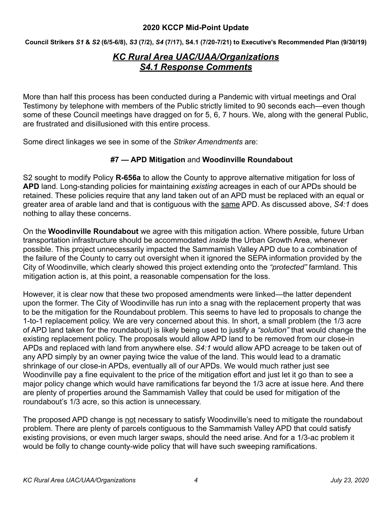**Council Strikers** *S1* **&** *S2* **(6/5-6/8),** *S3* **(7/2),** *S4* **(7/17), S4.1 (7/20-7/21) to Executive's Recommended Plan (9/30/19)** 

# *KC Rural Area UAC/UAA/Organizations S4.1 Response Comments*

More than half this process has been conducted during a Pandemic with virtual meetings and Oral Testimony by telephone with members of the Public strictly limited to 90 seconds each—even though some of these Council meetings have dragged on for 5, 6, 7 hours. We, along with the general Public, are frustrated and disillusioned with this entire process.

Some direct linkages we see in some of the *Striker Amendments* are:

### **#7 — APD Mitigation** and **Woodinville Roundabout**

S2 sought to modify Policy **R-656a** to allow the County to approve alternative mitigation for loss of **APD** land. Long-standing policies for maintaining *existing* acreages in each of our APDs should be retained. These policies require that any land taken out of an APD must be replaced with an equal or greater area of arable land and that is contiguous with the same APD. As discussed above, *S4:1* does nothing to allay these concerns.

On the **Woodinville Roundabout** we agree with this mitigation action. Where possible, future Urban transportation infrastructure should be accommodated *inside* the Urban Growth Area, whenever possible. This project unnecessarily impacted the Sammamish Valley APD due to a combination of the failure of the County to carry out oversight when it ignored the SEPA information provided by the City of Woodinville, which clearly showed this project extending onto the *"protected"* farmland. This mitigation action is, at this point, a reasonable compensation for the loss.

However, it is clear now that these two proposed amendments were linked—the latter dependent upon the former. The City of Woodinville has run into a snag with the replacement property that was to be the mitigation for the Roundabout problem. This seems to have led to proposals to change the 1-to-1 replacement policy. We are very concerned about this. In short, a small problem (the 1/3 acre of APD land taken for the roundabout) is likely being used to justify a *"solution"* that would change the existing replacement policy. The proposals would allow APD land to be removed from our close-in APDs and replaced with land from anywhere else. *S4:1* would allow APD acreage to be taken out of any APD simply by an owner paying twice the value of the land. This would lead to a dramatic shrinkage of our close-in APDs, eventually all of our APDs. We would much rather just see Woodinville pay a fine equivalent to the price of the mitigation effort and just let it go than to see a major policy change which would have ramifications far beyond the 1/3 acre at issue here. And there are plenty of properties around the Sammamish Valley that could be used for mitigation of the roundabout's 1/3 acre, so this action is unnecessary.

The proposed APD change is not necessary to satisfy Woodinville's need to mitigate the roundabout problem. There are plenty of parcels contiguous to the Sammamish Valley APD that could satisfy existing provisions, or even much larger swaps, should the need arise. And for a 1/3-ac problem it would be folly to change county-wide policy that will have such sweeping ramifications.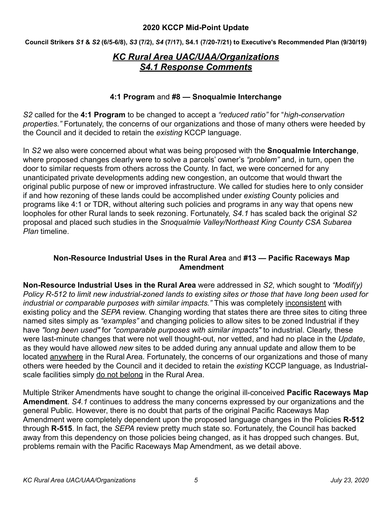**Council Strikers** *S1* **&** *S2* **(6/5-6/8),** *S3* **(7/2),** *S4* **(7/17), S4.1 (7/20-7/21) to Executive's Recommended Plan (9/30/19)** 

## *KC Rural Area UAC/UAA/Organizations S4.1 Response Comments*

#### **4:1 Program** and **#8 — Snoqualmie Interchange**

*S2* called for the **4:1 Program** to be changed to accept a *"reduced ratio"* for "*high-conservation properties."* Fortunately, the concerns of our organizations and those of many others were heeded by the Council and it decided to retain the *existing* KCCP language.

In *S2* we also were concerned about what was being proposed with the **Snoqualmie Interchange**, where proposed changes clearly were to solve a parcels' owner's *"problem"* and, in turn, open the door to similar requests from others across the County. In fact, we were concerned for any unanticipated private developments adding new congestion, an outcome that would thwart the original public purpose of new or improved infrastructure. We called for studies here to only consider if and how rezoning of these lands could be accomplished under *existing* County policies and programs like 4:1 or TDR, without altering such policies and programs in any way that opens new loopholes for other Rural lands to seek rezoning. Fortunately, *S4.1* has scaled back the original *S2* proposal and placed such studies in the *Snoqualmie Valley/Northeast King County CSA Subarea Plan* timeline.

#### **Non-Resource Industrial Uses in the Rural Area** and **#13 — Pacific Raceways Map Amendment**

**Non-Resource Industrial Uses in the Rural Area** were addressed in *S2*, which sought to *"Modif(y) Policy R-512 to limit new industrial-zoned lands to existing sites or those that have long been used for industrial or comparable purposes with similar impacts."* This was completely inconsistent with existing policy and the *SEPA* review. Changing wording that states there are three sites to citing three named sites simply as *"examples"* and changing policies to allow sites to be zoned Industrial if they have *"long been used"* for *"comparable purposes with similar impacts"* to industrial. Clearly, these were last-minute changes that were not well thought-out, nor vetted, and had no place in the *Update*, as they would have allowed *new* sites to be added during any annual update and allow them to be located anywhere in the Rural Area. Fortunately, the concerns of our organizations and those of many others were heeded by the Council and it decided to retain the *existing* KCCP language, as Industrialscale facilities simply do not belong in the Rural Area.

Multiple Striker Amendments have sought to change the original ill-conceived **Pacific Raceways Map Amendment**. *S4.1* continues to address the many concerns expressed by our organizations and the general Public. However, there is no doubt that parts of the original Pacific Raceways Map Amendment were completely dependent upon the proposed language changes in the Policies **R-512** through **R-515**. In fact, the *SEPA* review pretty much state so. Fortunately, the Council has backed away from this dependency on those policies being changed, as it has dropped such changes. But, problems remain with the Pacific Raceways Map Amendment, as we detail above.